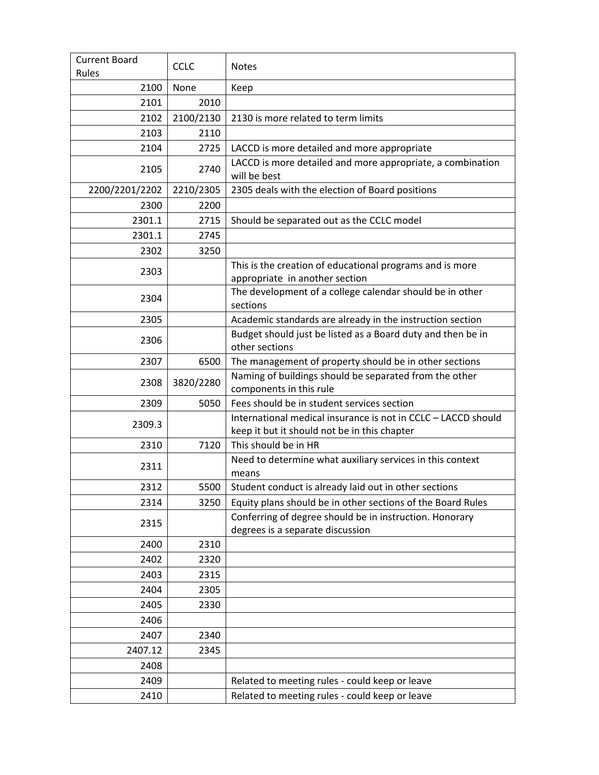| <b>Current Board</b> |             |                                                                                                                  |
|----------------------|-------------|------------------------------------------------------------------------------------------------------------------|
| Rules                | <b>CCLC</b> | <b>Notes</b>                                                                                                     |
| 2100                 | None        | Keep                                                                                                             |
| 2101                 | 2010        |                                                                                                                  |
| 2102                 | 2100/2130   | 2130 is more related to term limits                                                                              |
| 2103                 | 2110        |                                                                                                                  |
| 2104                 | 2725        | LACCD is more detailed and more appropriate                                                                      |
| 2105                 | 2740        | LACCD is more detailed and more appropriate, a combination<br>will be best                                       |
| 2200/2201/2202       | 2210/2305   | 2305 deals with the election of Board positions                                                                  |
| 2300                 | 2200        |                                                                                                                  |
| 2301.1               | 2715        | Should be separated out as the CCLC model                                                                        |
| 2301.1               | 2745        |                                                                                                                  |
| 2302                 | 3250        |                                                                                                                  |
| 2303                 |             | This is the creation of educational programs and is more<br>appropriate in another section                       |
| 2304                 |             | The development of a college calendar should be in other<br>sections                                             |
| 2305                 |             | Academic standards are already in the instruction section                                                        |
| 2306                 |             | Budget should just be listed as a Board duty and then be in                                                      |
| 2307                 | 6500        | other sections                                                                                                   |
|                      |             | The management of property should be in other sections<br>Naming of buildings should be separated from the other |
| 2308                 | 3820/2280   | components in this rule                                                                                          |
| 2309                 | 5050        | Fees should be in student services section                                                                       |
| 2309.3               |             | International medical insurance is not in CCLC - LACCD should<br>keep it but it should not be in this chapter    |
| 2310                 | 7120        | This should be in HR                                                                                             |
| 2311                 |             | Need to determine what auxiliary services in this context<br>means                                               |
| 2312                 | 5500        | Student conduct is already laid out in other sections                                                            |
| 2314                 | 3250        | Equity plans should be in other sections of the Board Rules                                                      |
| 2315                 |             | Conferring of degree should be in instruction. Honorary<br>degrees is a separate discussion                      |
| 2400                 | 2310        |                                                                                                                  |
| 2402                 | 2320        |                                                                                                                  |
| 2403                 | 2315        |                                                                                                                  |
| 2404                 | 2305        |                                                                                                                  |
| 2405                 | 2330        |                                                                                                                  |
| 2406                 |             |                                                                                                                  |
| 2407                 | 2340        |                                                                                                                  |
| 2407.12              | 2345        |                                                                                                                  |
| 2408                 |             |                                                                                                                  |
| 2409                 |             | Related to meeting rules - could keep or leave                                                                   |
| 2410                 |             | Related to meeting rules - could keep or leave                                                                   |